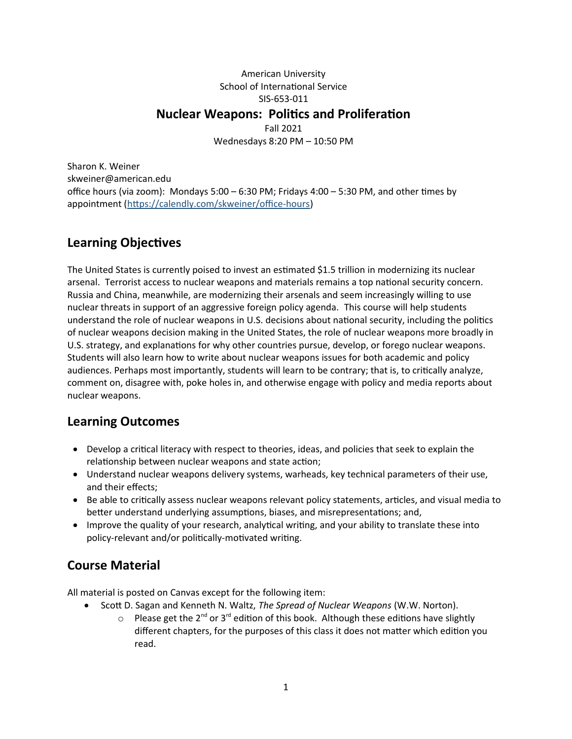## American University School of International Service SIS-653-011 **Nuclear Weapons: Politics and Proliferation** Fall 2021 Wednesdays 8:20 PM – 10:50 PM

Sharon K. Weiner skweiner@american.edu office hours (via zoom): Mondays 5:00 – 6:30 PM; Fridays 4:00 – 5:30 PM, and other times by appointment [\(https://calendly.com/skweiner/office-hours](https://calendly.com/skweiner/office-hours))

# **Learning Objectives**

The United States is currently poised to invest an estimated \$1.5 trillion in modernizing its nuclear arsenal. Terrorist access to nuclear weapons and materials remains a top national security concern. Russia and China, meanwhile, are modernizing their arsenals and seem increasingly willing to use nuclear threats in support of an aggressive foreign policy agenda. This course will help students understand the role of nuclear weapons in U.S. decisions about national security, including the politics of nuclear weapons decision making in the United States, the role of nuclear weapons more broadly in U.S. strategy, and explanations for why other countries pursue, develop, or forego nuclear weapons. Students will also learn how to write about nuclear weapons issues for both academic and policy audiences. Perhaps most importantly, students will learn to be contrary; that is, to critically analyze, comment on, disagree with, poke holes in, and otherwise engage with policy and media reports about nuclear weapons.

## **Learning Outcomes**

- Develop a critical literacy with respect to theories, ideas, and policies that seek to explain the relationship between nuclear weapons and state action;
- Understand nuclear weapons delivery systems, warheads, key technical parameters of their use, and their effects;
- **Be able to critically assess nuclear weapons relevant policy statements, articles, and visual media to** better understand underlying assumptions, biases, and misrepresentations; and,
- Improve the quality of your research, analytical writing, and your ability to translate these into policy-relevant and/or politically-motivated writing.

# **Course Material**

All material is posted on Canvas except for the following item:

- Scott D. Sagan and Kenneth N. Waltz, *The Spread of Nuclear Weapons* (W.W. Norton).
	- $\circ$  Please get the 2<sup>nd</sup> or 3<sup>rd</sup> edition of this book. Although these editions have slightly different chapters, for the purposes of this class it does not matter which edition you read.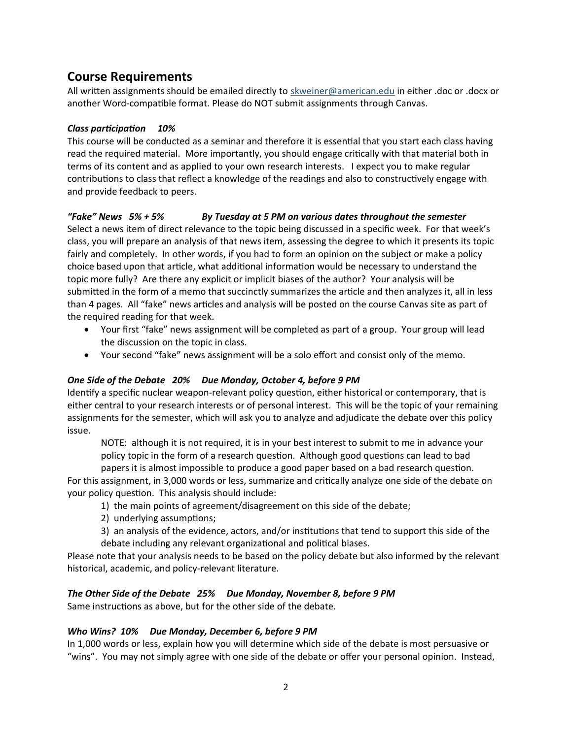# **Course Requirements**

All written assignments should be emailed directly to [skweiner@american.edu](mailto:skweiner@american.edu) in either .doc or .docx or another Word-compatible format. Please do NOT submit assignments through Canvas.

#### *Class participation 10%*

This course will be conducted as a seminar and therefore it is essential that you start each class having read the required material. More importantly, you should engage critically with that material both in terms of its content and as applied to your own research interests. I expect you to make regular contributions to class that reflect a knowledge of the readings and also to constructively engage with and provide feedback to peers.

#### *"Fake" News 5% + 5% By Tuesday at 5 PM on various dates throughout the semester*

Select a news item of direct relevance to the topic being discussed in a specific week. For that week's class, you will prepare an analysis of that news item, assessing the degree to which it presents its topic fairly and completely. In other words, if you had to form an opinion on the subject or make a policy choice based upon that article, what additional information would be necessary to understand the topic more fully? Are there any explicit or implicit biases of the author? Your analysis will be submitted in the form of a memo that succinctly summarizes the article and then analyzes it, all in less than 4 pages. All "fake" news articles and analysis will be posted on the course Canvas site as part of the required reading for that week.

- Your first "fake" news assignment will be completed as part of a group. Your group will lead the discussion on the topic in class.
- Your second "fake" news assignment will be a solo effort and consist only of the memo.

## *One Side of the Debate 20% Due Monday, October 4, before 9 PM*

Identify a specific nuclear weapon-relevant policy question, either historical or contemporary, that is either central to your research interests or of personal interest. This will be the topic of your remaining assignments for the semester, which will ask you to analyze and adjudicate the debate over this policy issue.

NOTE: although it is not required, it is in your best interest to submit to me in advance your policy topic in the form of a research question. Although good questions can lead to bad papers it is almost impossible to produce a good paper based on a bad research question.

For this assignment, in 3,000 words or less, summarize and critically analyze one side of the debate on your policy question. This analysis should include:

- 1) the main points of agreement/disagreement on this side of the debate;
- 2) underlying assumptions;
- 3) an analysis of the evidence, actors, and/or institutions that tend to support this side of the debate including any relevant organizational and political biases.

Please note that your analysis needs to be based on the policy debate but also informed by the relevant historical, academic, and policy-relevant literature.

#### *The Other Side of the Debate 25% Due Monday, November 8, before 9 PM*

Same instructions as above, but for the other side of the debate.

#### *Who Wins? 10% Due Monday, December 6, before 9 PM*

In 1,000 words or less, explain how you will determine which side of the debate is most persuasive or "wins". You may not simply agree with one side of the debate or offer your personal opinion. Instead,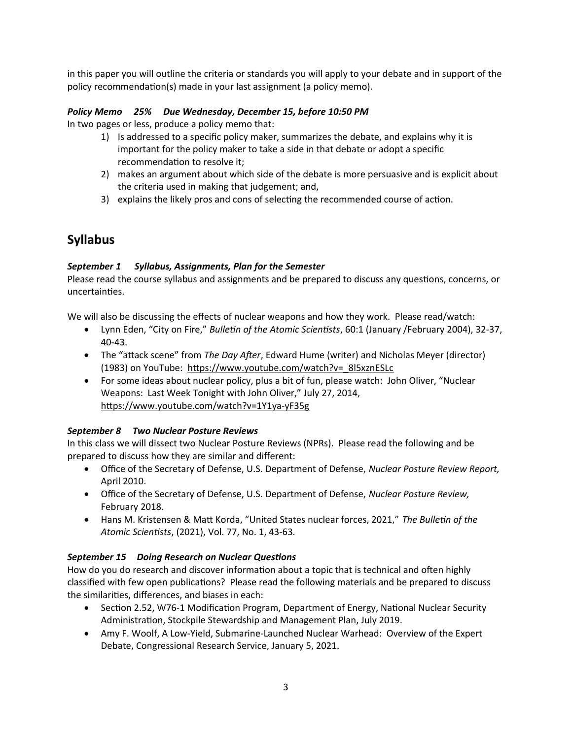in this paper you will outline the criteria or standards you will apply to your debate and in support of the policy recommendation(s) made in your last assignment (a policy memo).

## *Policy Memo 25% Due Wednesday, December 15, before 10:50 PM*

In two pages or less, produce a policy memo that:

- 1) Is addressed to a specific policy maker, summarizes the debate, and explains why it is important for the policy maker to take a side in that debate or adopt a specific recommendation to resolve it;
- 2) makes an argument about which side of the debate is more persuasive and is explicit about the criteria used in making that judgement; and,
- 3) explains the likely pros and cons of selecting the recommended course of action.

# **Syllabus**

#### *September 1 Syllabus, Assignments, Plan for the Semester*

Please read the course syllabus and assignments and be prepared to discuss any questions, concerns, or uncertainties.

We will also be discussing the effects of nuclear weapons and how they work. Please read/watch:

- Lynn Eden, "City on Fire," *Bulletin of the Atomic Scientists*, 60:1 (January /February 2004), 32-37, 40-43.
- The "attack scene" from *The Day After*, Edward Hume (writer) and Nicholas Meyer (director) (1983) on YouTube: https://www.youtube.com/watch?v=\_8l5xznESLc
- For some ideas about nuclear policy, plus a bit of fun, please watch: John Oliver, "Nuclear Weapons: Last Week Tonight with John Oliver," July 27, 2014, <https://www.youtube.com/watch?v=1Y1ya-yF35g>

## *September 8 Two Nuclear Posture Reviews*

In this class we will dissect two Nuclear Posture Reviews (NPRs). Please read the following and be prepared to discuss how they are similar and different:

- Office of the Secretary of Defense, U.S. Department of Defense, *Nuclear Posture Review Report,*  April 2010.
- Office of the Secretary of Defense, U.S. Department of Defense, *Nuclear Posture Review,*  February 2018.
- Hans M. Kristensen & Matt Korda, "United States nuclear forces, 2021," *The Bulletin of the Atomic Scientists*, (2021), Vol. 77, No. 1, 43-63.

## *September 15 Doing Research on Nuclear Questions*

How do you do research and discover information about a topic that is technical and often highly classified with few open publications? Please read the following materials and be prepared to discuss the similarities, differences, and biases in each:

- Section 2.52, W76-1 Modification Program, Department of Energy, National Nuclear Security Administration, Stockpile Stewardship and Management Plan, July 2019.
- Amy F. Woolf, A Low-Yield, Submarine-Launched Nuclear Warhead: Overview of the Expert Debate, Congressional Research Service, January 5, 2021.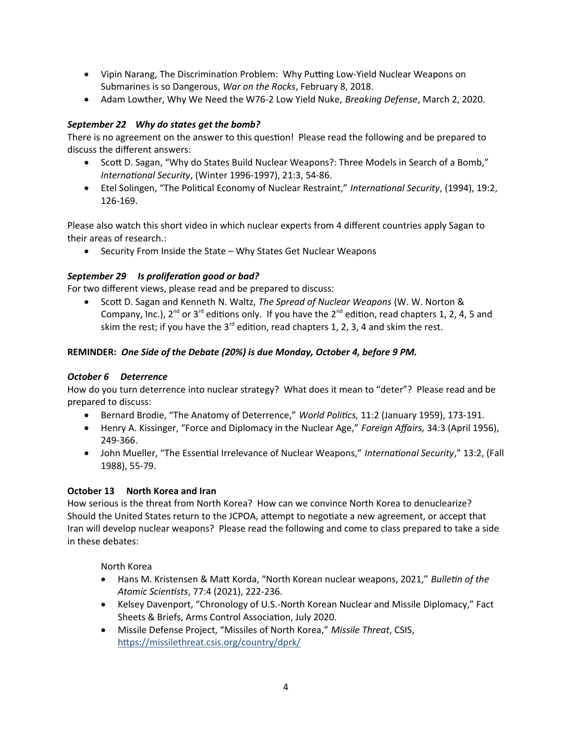- Vipin Narang, The Discrimination Problem: Why Putting Low-Yield Nuclear Weapons on Submarines is so Dangerous, *War on the Rocks*, February 8, 2018.
- Adam Lowther, Why We Need the W76-2 Low Yield Nuke, *Breaking Defense*, March 2, 2020.

## *September 22 Why do states get the bomb?*

There is no agreement on the answer to this question! Please read the following and be prepared to discuss the different answers:

- Scott D. Sagan, "Why do States Build Nuclear Weapons?: Three Models in Search of a Bomb," *International Security*, (Winter 1996-1997), 21:3, 54-86.
- Etel Solingen, "The Political Economy of Nuclear Restraint," *International Security*, (1994), 19:2, 126-169.

Please also watch this short video in which nuclear experts from 4 different countries apply Sagan to their areas of research.:

• Security From Inside the State – Why States Get Nuclear Weapons

## *September 29 Is proliferation good or bad?*

For two different views, please read and be prepared to discuss:

 Scott D. Sagan and Kenneth N. Waltz, *The Spread of Nuclear Weapons* (W. W. Norton & Company, Inc.), 2<sup>nd</sup> or 3<sup>rd</sup> editions only. If you have the 2<sup>nd</sup> edition, read chapters 1, 2, 4, 5 and skim the rest; if you have the  $3^{rd}$  edition, read chapters 1, 2, 3, 4 and skim the rest.

## **REMINDER:** *One Side of the Debate (20%) is due Monday, October 4, before 9 PM.*

## *October 6 Deterrence*

How do you turn deterrence into nuclear strategy? What does it mean to "deter"? Please read and be prepared to discuss:

- Bernard Brodie, "The Anatomy of Deterrence," *World Politics,* 11:2 (January 1959), 173-191.
- Henry A. Kissinger, "Force and Diplomacy in the Nuclear Age," *Foreign Affairs,* 34:3 (April 1956), 249-366.
- John Mueller, "The Essential Irrelevance of Nuclear Weapons," *International Security*," 13:2, (Fall 1988), 55-79.

## **October 13 North Korea and Iran**

How serious is the threat from North Korea? How can we convince North Korea to denuclearize? Should the United States return to the JCPOA, attempt to negotiate a new agreement, or accept that Iran will develop nuclear weapons? Please read the following and come to class prepared to take a side in these debates:

North Korea

- Hans M. Kristensen & Matt Korda, "North Korean nuclear weapons, 2021," *Bulletin of the Atomic Scientists*, 77:4 (2021), 222-236.
- Kelsey Davenport, "Chronology of U.S.-North Korean Nuclear and Missile Diplomacy," Fact Sheets & Briefs, Arms Control Association, July 2020.
- Missile Defense Project, "Missiles of North Korea," *Missile Threat*, CSIS, <https://missilethreat.csis.org/country/dprk/>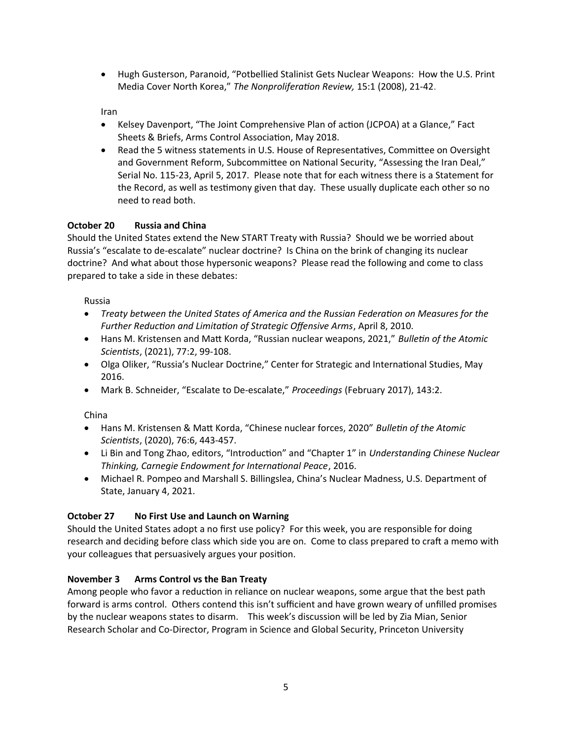Hugh Gusterson, Paranoid, "Potbellied Stalinist Gets Nuclear Weapons: How the U.S. Print Media Cover North Korea," *The Nonproliferation Review,* 15:1 (2008), 21-42.

Iran

- Kelsey Davenport, "The Joint Comprehensive Plan of action (JCPOA) at a Glance," Fact Sheets & Briefs, Arms Control Association, May 2018.
- Read the 5 witness statements in U.S. House of Representatives, Committee on Oversight and Government Reform, Subcommittee on National Security, "Assessing the Iran Deal," Serial No. 115-23, April 5, 2017. Please note that for each witness there is a Statement for the Record, as well as testimony given that day. These usually duplicate each other so no need to read both.

## **October 20 Russia and China**

Should the United States extend the New START Treaty with Russia? Should we be worried about Russia's "escalate to de-escalate" nuclear doctrine? Is China on the brink of changing its nuclear doctrine? And what about those hypersonic weapons? Please read the following and come to class prepared to take a side in these debates:

Russia

- *Treaty between the United States of America and the Russian Federation on Measures for the Further Reduction and Limitation of Strategic Offensive Arms*, April 8, 2010.
- Hans M. Kristensen and Matt Korda, "Russian nuclear weapons, 2021," *Bulletin of the Atomic Scientists*, (2021), 77:2, 99-108.
- Olga Oliker, "Russia's Nuclear Doctrine," Center for Strategic and International Studies, May 2016.
- Mark B. Schneider, "Escalate to De-escalate," *Proceedings* (February 2017), 143:2.

China

- Hans M. Kristensen & Matt Korda, "Chinese nuclear forces, 2020" *Bulletin of the Atomic Scientists*, (2020), 76:6, 443-457.
- Li Bin and Tong Zhao, editors, "Introduction" and "Chapter 1" in *Understanding Chinese Nuclear Thinking, Carnegie Endowment for International Peace*, 2016.
- Michael R. Pompeo and Marshall S. Billingslea, China's Nuclear Madness, U.S. Department of State, January 4, 2021.

## **October 27 No First Use and Launch on Warning**

Should the United States adopt a no first use policy? For this week, you are responsible for doing research and deciding before class which side you are on. Come to class prepared to craft a memo with your colleagues that persuasively argues your position.

## **November 3 Arms Control vs the Ban Treaty**

Among people who favor a reduction in reliance on nuclear weapons, some argue that the best path forward is arms control. Others contend this isn't sufficient and have grown weary of unfilled promises by the nuclear weapons states to disarm. This week's discussion will be led by Zia Mian, Senior Research Scholar and Co-Director, Program in Science and Global Security, Princeton University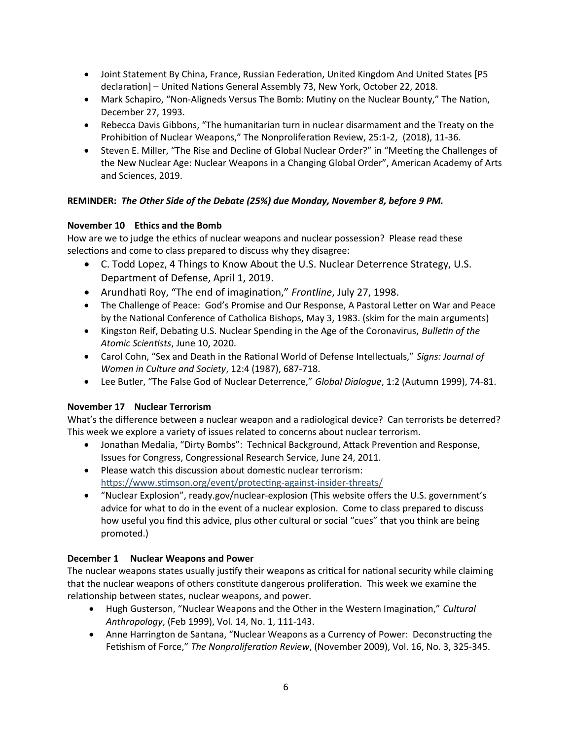- Joint Statement By China, France, Russian Federation, United Kingdom And United States [P5 declaration] – United Nations General Assembly 73, New York, October 22, 2018.
- Mark Schapiro, "Non-Aligneds Versus The Bomb: Mutiny on the Nuclear Bounty," The Nation, December 27, 1993.
- Rebecca Davis Gibbons, "The humanitarian turn in nuclear disarmament and the Treaty on the Prohibition of Nuclear Weapons," The Nonproliferation Review, 25:1-2, (2018), 11-36.
- Steven E. Miller, "The Rise and Decline of Global Nuclear Order?" in "Meeting the Challenges of the New Nuclear Age: Nuclear Weapons in a Changing Global Order", American Academy of Arts and Sciences, 2019.

## **REMINDER:** *The Other Side of the Debate (25%) due Monday, November 8, before 9 PM.*

## **November 10 Ethics and the Bomb**

How are we to judge the ethics of nuclear weapons and nuclear possession? Please read these selections and come to class prepared to discuss why they disagree:

- C. Todd Lopez, 4 Things to Know About the U.S. Nuclear Deterrence Strategy, U.S. Department of Defense, April 1, 2019.
- Arundhati Roy, "The end of imagination," *Frontline*, July 27, 1998.
- The Challenge of Peace: God's Promise and Our Response, A Pastoral Letter on War and Peace by the National Conference of Catholica Bishops, May 3, 1983. (skim for the main arguments)
- Kingston Reif, Debating U.S. Nuclear Spending in the Age of the Coronavirus, *Bulletin of the Atomic Scientists*, June 10, 2020.
- Carol Cohn, "Sex and Death in the Rational World of Defense Intellectuals," *Signs: Journal of Women in Culture and Society*, 12:4 (1987), 687-718.
- Lee Butler, "The False God of Nuclear Deterrence," *Global Dialogue*, 1:2 (Autumn 1999), 74-81.

## **November 17 Nuclear Terrorism**

What's the difference between a nuclear weapon and a radiological device? Can terrorists be deterred? This week we explore a variety of issues related to concerns about nuclear terrorism.

- Jonathan Medalia, "Dirty Bombs": Technical Background, Attack Prevention and Response, Issues for Congress, Congressional Research Service, June 24, 2011.
- Please watch this discussion about domestic nuclear terrorism: <https://www.stimson.org/event/protecting-against-insider-threats/>
- "Nuclear Explosion", ready.gov/nuclear-explosion (This website offers the U.S. government's advice for what to do in the event of a nuclear explosion. Come to class prepared to discuss how useful you find this advice, plus other cultural or social "cues" that you think are being promoted.)

## **December 1 Nuclear Weapons and Power**

The nuclear weapons states usually justify their weapons as critical for national security while claiming that the nuclear weapons of others constitute dangerous proliferation. This week we examine the relationship between states, nuclear weapons, and power.

- Hugh Gusterson, "Nuclear Weapons and the Other in the Western Imagination," *Cultural Anthropology*, (Feb 1999), Vol. 14, No. 1, 111-143.
- Anne Harrington de Santana, "Nuclear Weapons as a Currency of Power: Deconstructing the Fetishism of Force," *The Nonproliferation Review*, (November 2009), Vol. 16, No. 3, 325-345.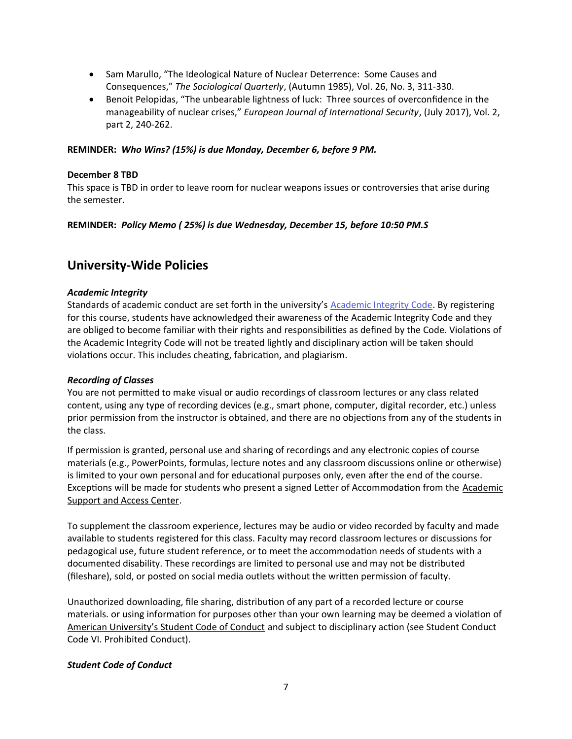- Sam Marullo, "The Ideological Nature of Nuclear Deterrence: Some Causes and Consequences," *The Sociological Quarterly*, (Autumn 1985), Vol. 26, No. 3, 311-330.
- Benoit Pelopidas, "The unbearable lightness of luck: Three sources of overconfidence in the manageability of nuclear crises," *European Journal of International Security*, (July 2017), Vol. 2, part 2, 240-262.

#### **REMINDER:** *Who Wins? (15%) is due Monday, December 6, before 9 PM.*

#### **December 8 TBD**

This space is TBD in order to leave room for nuclear weapons issues or controversies that arise during the semester.

#### **REMINDER:** *Policy Memo ( 25%) is due Wednesday, December 15, before 10:50 PM.S*

## **University-Wide Policies**

#### *Academic Integrity*

Standards of academic conduct are set forth in the university's [Academic Integrity Code](http://www.american.edu/academics/integrity/index.cfm). By registering for this course, students have acknowledged their awareness of the Academic Integrity Code and they are obliged to become familiar with their rights and responsibilities as defined by the Code. Violations of the Academic Integrity Code will not be treated lightly and disciplinary action will be taken should violations occur. This includes cheating, fabrication, and plagiarism.

#### *Recording of Classes*

You are not permitted to make visual or audio recordings of classroom lectures or any class related content, using any type of recording devices (e.g., smart phone, computer, digital recorder, etc.) unless prior permission from the instructor is obtained, and there are no objections from any of the students in the class.

If permission is granted, personal use and sharing of recordings and any electronic copies of course materials (e.g., PowerPoints, formulas, lecture notes and any classroom discussions online or otherwise) is limited to your own personal and for educational purposes only, even after the end of the course. Exceptions will be made for students who present a signed Letter of Accommodation from the [Academic](http://www.american.edu/ocl/asac/Accommodations.cfm) [Support and Access Center](http://www.american.edu/ocl/asac/Accommodations.cfm).

To supplement the classroom experience, lectures may be audio or video recorded by faculty and made available to students registered for this class. Faculty may record classroom lectures or discussions for pedagogical use, future student reference, or to meet the accommodation needs of students with a documented disability. These recordings are limited to personal use and may not be distributed (fileshare), sold, or posted on social media outlets without the written permission of faculty.

Unauthorized downloading, file sharing, distribution of any part of a recorded lecture or course materials. or using information for purposes other than your own learning may be deemed a violation of [American University's Student Code of Conduct](http://www.american.edu/ocl/sccrs/upload/AU-Student-Conduct-Code.pdf) and subject to disciplinary action (see Student Conduct Code VI. Prohibited Conduct).

## *Student Code of Conduct*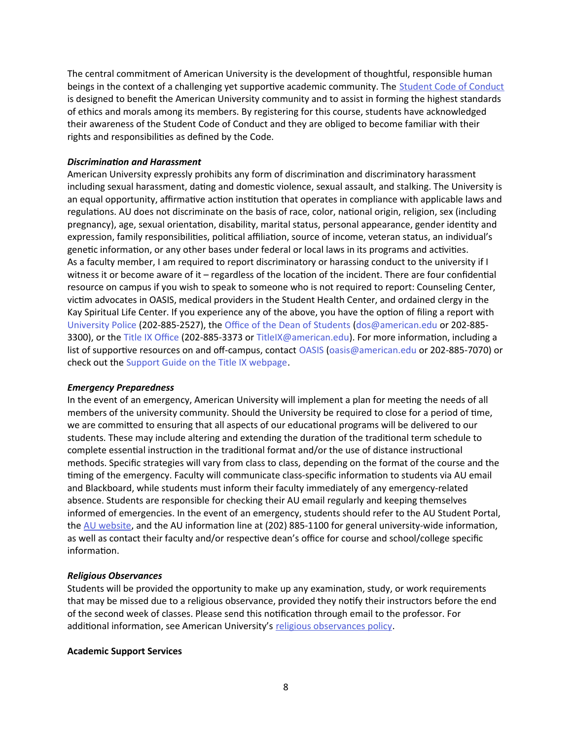The central commitment of American University is the development of thoughtful, responsible human beings in the context of a challenging yet supportive academic community. The [Student Code of Conduct](http://www.american.edu/ocl/sccrs/) is designed to benefit the American University community and to assist in forming the highest standards of ethics and morals among its members. By registering for this course, students have acknowledged their awareness of the Student Code of Conduct and they are obliged to become familiar with their rights and responsibilities as defined by the Code.

#### *Discrimination and Harassment*

American University expressly prohibits any form of discrimination and discriminatory harassment including sexual harassment, dating and domestic violence, sexual assault, and stalking. The University is an equal opportunity, affirmative action institution that operates in compliance with applicable laws and regulations. AU does not discriminate on the basis of race, color, national origin, religion, sex (including pregnancy), age, sexual orientation, disability, marital status, personal appearance, gender identity and expression, family responsibilities, political affiliation, source of income, veteran status, an individual's genetic information, or any other bases under federal or local laws in its programs and activities. As a faculty member, I am required to report discriminatory or harassing conduct to the university if I witness it or become aware of it – regardless of the location of the incident. There are four confidential resource on campus if you wish to speak to someone who is not required to report: Counseling Center, victim advocates in OASIS, medical providers in the Student Health Center, and ordained clergy in the Kay Spiritual Life Center. If you experience any of the above, you have the option of filing a report with [University Police](http://www.american.edu/finance/publicsafety/index.cfm) (202-885-2527), the [Office of the Dean of Students](http://www.american.edu/ocl/dos/) [\(dos@american.edu](mailto:dos@american.edu) or 202-885- 3300), or the [Title IX Office](http://www.american.edu/ocl/TitleIX/index.cfm) (202-885-3373 or [TitleIX@american.edu](mailto:TitleIX@american.edu)). For more information, including a list of supportive resources on and off-campus, contact [OASIS](https://www.american.edu/ocl/promote-health/OASIS.cfm) ([oasis@american.edu](mailto:oasis@american.edu) or 202-885-7070) or check out the [Support Guide on the Title IX webpage.](https://www.american.edu/ocl/TitleIX/support.cfm)

#### *Emergency Preparedness*

In the event of an emergency, American University will implement a plan for meeting the needs of all members of the university community. Should the University be required to close for a period of time, we are committed to ensuring that all aspects of our educational programs will be delivered to our students. These may include altering and extending the duration of the traditional term schedule to complete essential instruction in the traditional format and/or the use of distance instructional methods. Specific strategies will vary from class to class, depending on the format of the course and the timing of the emergency. Faculty will communicate class-specific information to students via AU email and Blackboard, while students must inform their faculty immediately of any emergency-related absence. Students are responsible for checking their AU email regularly and keeping themselves informed of emergencies. In the event of an emergency, students should refer to the AU Student Portal, the [AU website,](http://www.prepared.american.edu/) and the AU information line at (202) 885-1100 for general university-wide information, as well as contact their faculty and/or respective dean's office for course and school/college specific information.

#### *Religious Observances*

Students will be provided the opportunity to make up any examination, study, or work requirements that may be missed due to a religious observance, provided they notify their instructors before the end of the second week of classes. Please send this notification through email to the professor. For additional information, see American University's [religious observances policy](http://www.american.edu/ocl/kay/Major-Religious-Holy-Days.cfm).

#### **Academic Support Services**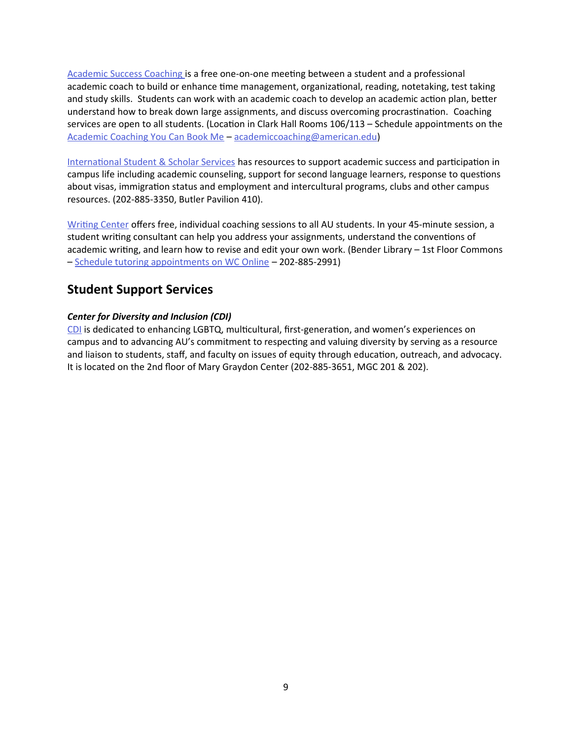[Academic Success Coaching](https://www.american.edu/provost/academic-access/academic-success-coaching.cfm) is a free one-on-one meeting between a student and a professional academic coach to build or enhance time management, organizational, reading, notetaking, test taking and study skills. Students can work with an academic coach to develop an academic action plan, better understand how to break down large assignments, and discuss overcoming procrastination. Coaching services are open to all students. (Location in Clark Hall Rooms 106/113 – Schedule appointments on the [Academic Coaching You Can Book Me](https://auacademiccoaching.youcanbook.me/) – [academiccoaching@american.edu\)](mailto:academiccoaching@american.edu)

[International Student & Scholar Services](https://www.american.edu/ocl/isss/index.cfm) has resources to support academic success and participation in campus life including academic counseling, support for second language learners, response to questions about visas, immigration status and employment and intercultural programs, clubs and other campus resources. (202-885-3350, Butler Pavilion 410).

[Writing Center](https://www.american.edu/provost/academic-access/writing-center.cfm) offers free, individual coaching sessions to all AU students. In your 45-minute session, a student writing consultant can help you address your assignments, understand the conventions of academic writing, and learn how to revise and edit your own work. (Bender Library – 1st Floor Commons – [Schedule tutoring appointments on WC Online](https://american.mywconline.net/) – 202-885-2991)

## **Student Support Services**

## *Center for Diversity and Inclusion (CDI)*

[CDI](http://www.american.edu/ocl/cdi/) is dedicated to enhancing LGBTQ, multicultural, first-generation, and women's experiences on campus and to advancing AU's commitment to respecting and valuing diversity by serving as a resource and liaison to students, staff, and faculty on issues of equity through education, outreach, and advocacy. It is located on the 2nd floor of Mary Graydon Center (202-885-3651, MGC 201 & 202).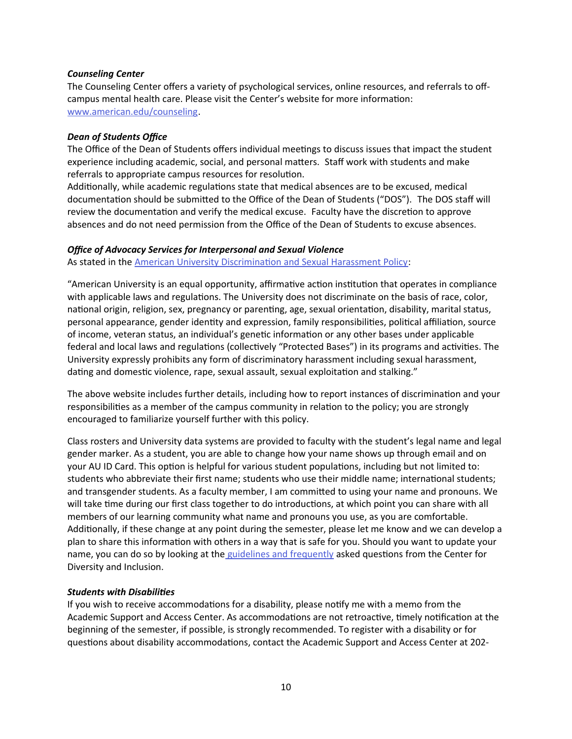#### *Counseling Center*

The Counseling Center offers a variety of psychological services, online resources, and referrals to offcampus mental health care. Please visit the Center's website for more information: [www.american.edu/counseling](http://www.american.edu/counseling).

#### *Dean of Students Office*

The Office of the Dean of Students offers individual meetings to discuss issues that impact the student experience including academic, social, and personal matters. Staff work with students and make referrals to appropriate campus resources for resolution.

Additionally, while academic regulations state that medical absences are to be excused, medical documentation should be submitted to the Office of the Dean of Students ("DOS"). The DOS staff will review the documentation and verify the medical excuse. Faculty have the discretion to approve absences and do not need permission from the Office of the Dean of Students to excuse absences.

#### *Office of Advocacy Services for Interpersonal and Sexual Violence*

As stated in the [American University Discrimination and Sexual Harassment Policy](https://www.american.edu/policies/au-community/upload/disrimination-and-sexual-harassment-policy-09-05-19-final.pdf):

"American University is an equal opportunity, affirmative action institution that operates in compliance with applicable laws and regulations. The University does not discriminate on the basis of race, color, national origin, religion, sex, pregnancy or parenting, age, sexual orientation, disability, marital status, personal appearance, gender identity and expression, family responsibilities, political affiliation, source of income, veteran status, an individual's genetic information or any other bases under applicable federal and local laws and regulations (collectively "Protected Bases") in its programs and activities. The University expressly prohibits any form of discriminatory harassment including sexual harassment, dating and domestic violence, rape, sexual assault, sexual exploitation and stalking."

The above website includes further details, including how to report instances of discrimination and your responsibilities as a member of the campus community in relation to the policy; you are strongly encouraged to familiarize yourself further with this policy.

Class rosters and University data systems are provided to faculty with the student's legal name and legal gender marker. As a student, you are able to change how your name shows up through email and on your AU ID Card. This option is helpful for various student populations, including but not limited to: students who abbreviate their first name; students who use their middle name; international students; and transgender students. As a faculty member, I am committed to using your name and pronouns. We will take time during our first class together to do introductions, at which point you can share with all members of our learning community what name and pronouns you use, as you are comfortable. Additionally, if these change at any point during the semester, please let me know and we can develop a plan to share this information with others in a way that is safe for you. Should you want to update your name, you can do so by looking at the [guidelines and frequently](https://www.american.edu/ocl/cdi/TRG.cfm) asked questions from the Center for Diversity and Inclusion.

#### *Students with Disabilities*

If you wish to receive accommodations for a disability, please notify me with a memo from the Academic Support and Access Center. As accommodations are not retroactive, timely notification at the beginning of the semester, if possible, is strongly recommended. To register with a disability or for questions about disability accommodations, contact the Academic Support and Access Center at 202